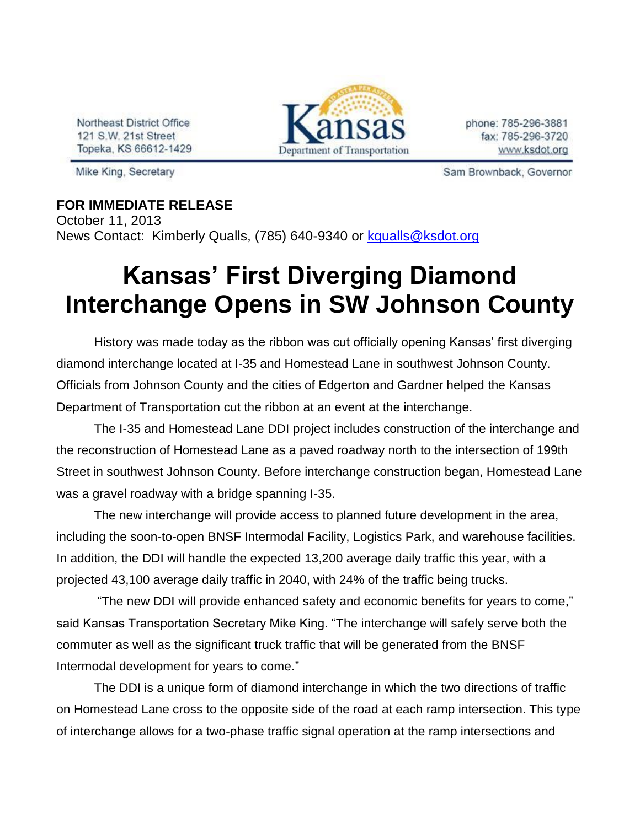Northeast District Office 121 S.W. 21st Street Topeka, KS 66612-1429

Mike King, Secretary



phone: 785-296-3881 fax: 785-296-3720 www.ksdot.org

Sam Brownback, Governor

## **FOR IMMEDIATE RELEASE**

October 11, 2013 News Contact: Kimberly Qualls, (785) 640-9340 or [kqualls@ksdot.org](mailto:kqualls@ksdot.org)

## **Kansas' First Diverging Diamond Interchange Opens in SW Johnson County**

History was made today as the ribbon was cut officially opening Kansas' first diverging diamond interchange located at I-35 and Homestead Lane in southwest Johnson County. Officials from Johnson County and the cities of Edgerton and Gardner helped the Kansas Department of Transportation cut the ribbon at an event at the interchange.

The I-35 and Homestead Lane DDI project includes construction of the interchange and the reconstruction of Homestead Lane as a paved roadway north to the intersection of 199th Street in southwest Johnson County. Before interchange construction began, Homestead Lane was a gravel roadway with a bridge spanning I-35.

The new interchange will provide access to planned future development in the area, including the soon-to-open BNSF Intermodal Facility, Logistics Park, and warehouse facilities. In addition, the DDI will handle the expected 13,200 average daily traffic this year, with a projected 43,100 average daily traffic in 2040, with 24% of the traffic being trucks.

"The new DDI will provide enhanced safety and economic benefits for years to come," said Kansas Transportation Secretary Mike King. "The interchange will safely serve both the commuter as well as the significant truck traffic that will be generated from the BNSF Intermodal development for years to come."

The DDI is a unique form of diamond interchange in which the two directions of traffic on Homestead Lane cross to the opposite side of the road at each ramp intersection. This type of interchange allows for a two-phase traffic signal operation at the ramp intersections and